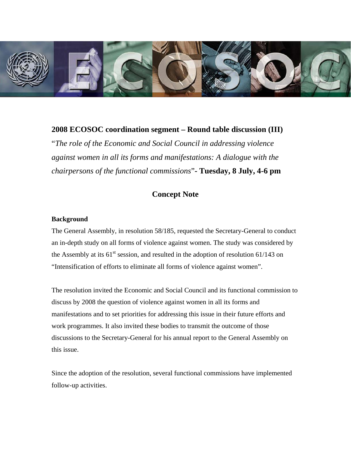

**2008 ECOSOC coordination segment – Round table discussion (III)**  "*The role of the Economic and Social Council in addressing violence against women in all its forms and manifestations: A dialogue with the chairpersons of the functional commissions*"**- Tuesday, 8 July, 4-6 pm** 

# **Concept Note**

## **Background**

The General Assembly, in resolution 58/185, requested the Secretary-General to conduct an in-depth study on all forms of violence against women. The study was considered by the Assembly at its  $61<sup>st</sup>$  session, and resulted in the adoption of resolution 61/143 on "Intensification of efforts to eliminate all forms of violence against women".

The resolution invited the Economic and Social Council and its functional commission to discuss by 2008 the question of violence against women in all its forms and manifestations and to set priorities for addressing this issue in their future efforts and work programmes. It also invited these bodies to transmit the outcome of those discussions to the Secretary-General for his annual report to the General Assembly on this issue.

Since the adoption of the resolution, several functional commissions have implemented follow-up activities.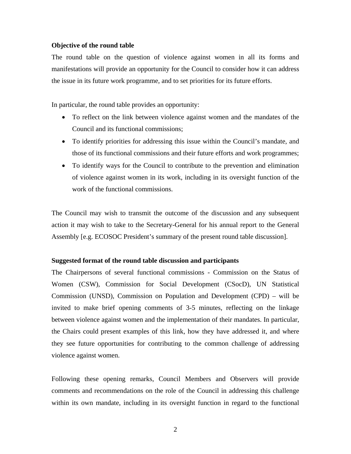### **Objective of the round table**

The round table on the question of violence against women in all its forms and manifestations will provide an opportunity for the Council to consider how it can address the issue in its future work programme, and to set priorities for its future efforts.

In particular, the round table provides an opportunity:

- To reflect on the link between violence against women and the mandates of the Council and its functional commissions;
- To identify priorities for addressing this issue within the Council's mandate, and those of its functional commissions and their future efforts and work programmes;
- To identify ways for the Council to contribute to the prevention and elimination of violence against women in its work, including in its oversight function of the work of the functional commissions.

The Council may wish to transmit the outcome of the discussion and any subsequent action it may wish to take to the Secretary-General for his annual report to the General Assembly [e.g. ECOSOC President's summary of the present round table discussion].

#### **Suggested format of the round table discussion and participants**

The Chairpersons of several functional commissions - Commission on the Status of Women (CSW), Commission for Social Development (CSocD), UN Statistical Commission (UNSD), Commission on Population and Development (CPD) – will be invited to make brief opening comments of 3-5 minutes, reflecting on the linkage between violence against women and the implementation of their mandates. In particular, the Chairs could present examples of this link, how they have addressed it, and where they see future opportunities for contributing to the common challenge of addressing violence against women.

Following these opening remarks, Council Members and Observers will provide comments and recommendations on the role of the Council in addressing this challenge within its own mandate, including in its oversight function in regard to the functional